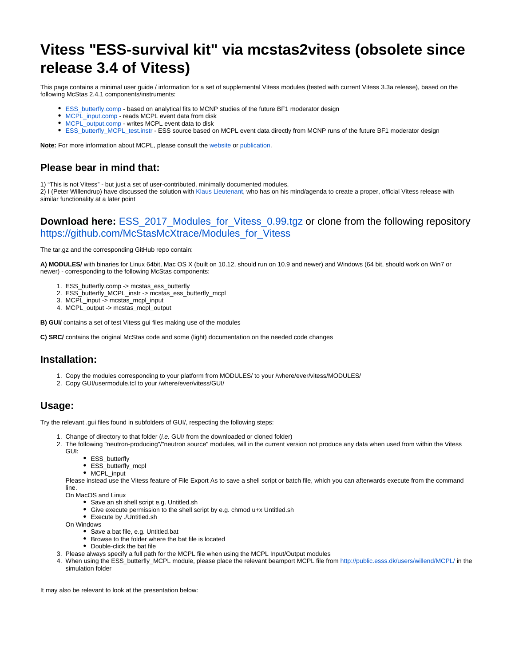# **Vitess "ESS-survival kit" via mcstas2vitess (obsolete since release 3.4 of Vitess)**

This page contains a minimal user guide / information for a set of supplemental Vitess modules (tested with current Vitess 3.3a release), based on the following McStas 2.4.1 components/instruments:

- [ESS\\_butterfly.comp](http://www.mcstas.org/download/components/sources/ESS_butterfly.html) based on analytical fits to MCNP studies of the future BF1 moderator design
- [MCPL\\_input.comp](http://www.mcstas.org/download/components/misc/MCPL_input.html)  reads MCPL event data from disk
- [MCPL\\_output.comp](http://www.mcstas.org/download/components/misc/MCPL_output.html) writes MCPL event data to disk
- [ESS\\_butterfly\\_MCPL\\_test.instr](http://www.mcstas.org/download/components/examples/ESS_butterfly_MCPL_test.html) ESS source based on MCPL event data directly from MCNP runs of the future BF1 moderator design

**Note:** For more information about MCPL, please consult the [website](https://mctools.github.io/mcpl/) or [publication](https://doi.org/10.1016/j.cpc.2017.04.012).

## **Please bear in mind that:**

1) "This is not Vitess" - but just a set of user-contributed, minimally documented modules,

2) I (Peter Willendrup) have discussed the solution with [Klaus Lieutenant,](mailto:klaus.lieutenant@helmholtz-berlin.de) who has on his mind/agenda to create a proper, official Vitess release with similar functionality at a later point

#### **Download here:** [ESS\\_2017\\_Modules\\_for\\_Vitess\\_0.99.tgz](https://confluence.esss.lu.se/download/attachments/238390110/ESS_2017_Modules_for_Vitess_0.99.tgz?version=1&modificationDate=1507202930386&api=v2) or clone from the following repository [https://github.com/McStasMcXtrace/Modules\\_for\\_Vitess](https://github.com/McStasMcXtrace/Modules_for_Vitess)

The tar.gz and the corresponding GitHub repo contain:

**A) MODULES/** with binaries for Linux 64bit, Mac OS X (built on 10.12, should run on 10.9 and newer) and Windows (64 bit, should work on Win7 or newer) - corresponding to the following McStas components:

- 1. ESS\_butterfly.comp -> mcstas\_ess\_butterfly
- 2. ESS\_butterfly\_MCPL\_instr -> mcstas\_ess\_butterfly\_mcpl
- 3. MCPL\_input -> mcstas\_mcpl\_input
- 4. MCPL\_output -> mcstas\_mcpl\_output

**B) GUI/** contains a set of test Vitess gui files making use of the modules

**C) SRC/** contains the original McStas code and some (light) documentation on the needed code changes

## **Installation:**

- 1. Copy the modules corresponding to your platform from MODULES/ to your /where/ever/vitess/MODULES/
- 2. Copy GUI/usermodule.tcl to your /where/ever/vitess/GUI/

# **Usage:**

Try the relevant .gui files found in subfolders of GUI/, respecting the following steps:

- 1. Change of directory to that folder (i.e. GUI/ from the downloaded or cloned folder)
- 2. The following "neutron-producing"/"neutron source" modules, will in the current version not produce any data when used from within the Vitess GUI:
	- ESS\_butterfly
	- ESS\_butterfly\_mcpl
	- MCPL\_input

Please instead use the Vitess feature of File Export As to save a shell script or batch file, which you can afterwards execute from the command line.

On MacOS and Linux

- Save an sh shell script e.g. Untitled.sh
- Give execute permission to the shell script by e.g. chmod u+x Untitled.sh
- Execute by ./Untitled.sh
- On Windows
	- Save a bat file, e.g. Untitled.bat
	- Browse to the folder where the bat file is located
	- Double-click the bat file
- 3. Please always specify a full path for the MCPL file when using the MCPL Input/Output modules
- 4. When using the ESS\_butterfly\_MCPL module, please place the relevant beamport MCPL file from <http://public.esss.dk/users/willend/MCPL/> in the simulation folder

It may also be relevant to look at the presentation below: